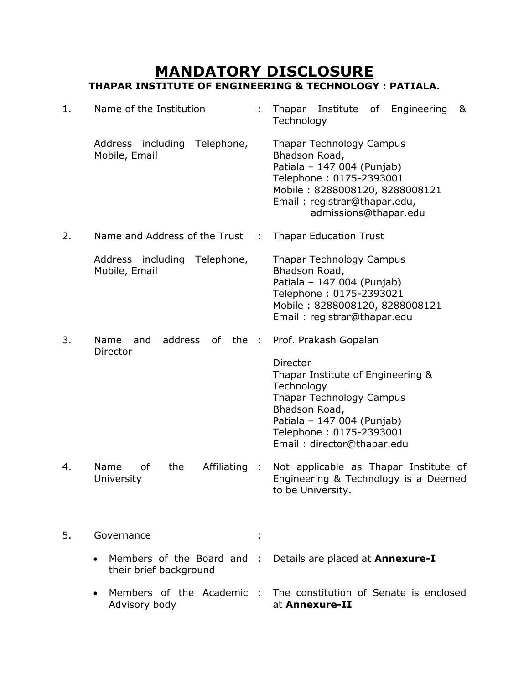# **MANDATORY DISCLOSURE THAPAR INSTITUTE OF ENGINEERING & TECHNOLOGY : PATIALA.**

| $1$ . | Name of the Institution                                           |   | Thapar Institute of<br>Engineering<br>&<br>Technology                                                                                                                                                  |
|-------|-------------------------------------------------------------------|---|--------------------------------------------------------------------------------------------------------------------------------------------------------------------------------------------------------|
|       | Telephone,<br>Address including<br>Mobile, Email                  |   | <b>Thapar Technology Campus</b><br>Bhadson Road,<br>Patiala - 147 004 (Punjab)<br>Telephone: 0175-2393001<br>Mobile: 8288008120, 8288008121<br>Email: registrar@thapar.edu,<br>admissions@thapar.edu   |
| 2.    | Name and Address of the Trust                                     | ÷ | <b>Thapar Education Trust</b>                                                                                                                                                                          |
|       | Address including<br>Telephone,<br>Mobile, Email                  |   | <b>Thapar Technology Campus</b><br>Bhadson Road,<br>Patiala - 147 004 (Punjab)<br>Telephone: 0175-2393021<br>Mobile: 8288008120, 8288008121<br>Email: registrar@thapar.edu                             |
| 3.    | Name<br>address<br>the :<br>and<br>of<br><b>Director</b>          |   | Prof. Prakash Gopalan                                                                                                                                                                                  |
|       |                                                                   |   | Director<br>Thapar Institute of Engineering &<br>Technology<br><b>Thapar Technology Campus</b><br>Bhadson Road,<br>Patiala - 147 004 (Punjab)<br>Telephone: 0175-2393001<br>Email: director@thapar.edu |
| 4.    | Name<br>of<br>the<br>Affiliating :<br>University                  |   | Not applicable as Thapar Institute of<br>Engineering & Technology is a Deemed<br>to be University.                                                                                                     |
| 5.    | Governance                                                        |   |                                                                                                                                                                                                        |
|       | Members of the Board and :<br>$\bullet$<br>their brief background |   | Details are placed at Annexure-I                                                                                                                                                                       |
|       | Members of the Academic :<br>Advisory body                        |   | The constitution of Senate is enclosed<br>at Annexure-II                                                                                                                                               |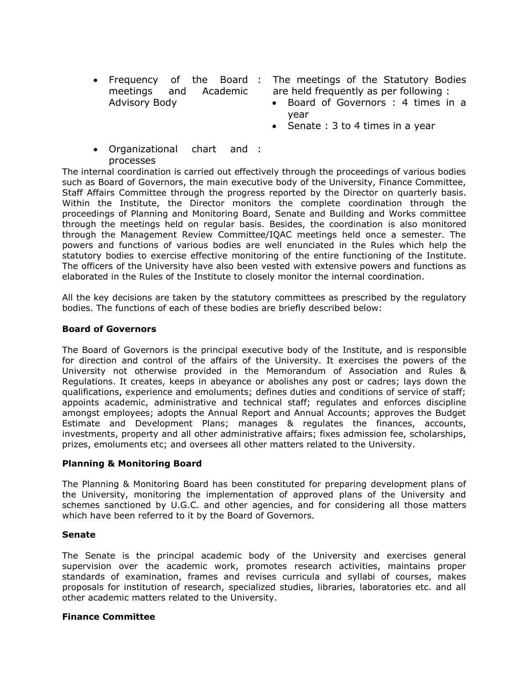• Frequency of the Board : meetings and Academic Advisory Body

: The meetings of the Statutory Bodies are held frequently as per following :

- Board of Governors : 4 times in a year
- Senate  $: 3$  to 4 times in a year
- Organizational chart and : processes

The internal coordination is carried out effectively through the proceedings of various bodies such as Board of Governors, the main executive body of the University, Finance Committee, Staff Affairs Committee through the progress reported by the Director on quarterly basis. Within the Institute, the Director monitors the complete coordination through the proceedings of Planning and Monitoring Board, Senate and Building and Works committee through the meetings held on regular basis. Besides, the coordination is also monitored through the Management Review Committee/IQAC meetings held once a semester. The powers and functions of various bodies are well enunciated in the Rules which help the statutory bodies to exercise effective monitoring of the entire functioning of the Institute. The officers of the University have also been vested with extensive powers and functions as elaborated in the Rules of the Institute to closely monitor the internal coordination.

All the key decisions are taken by the statutory committees as prescribed by the regulatory bodies. The functions of each of these bodies are briefly described below:

#### **Board of Governors**

The Board of Governors is the principal executive body of the Institute, and is responsible for direction and control of the affairs of the University. It exercises the powers of the University not otherwise provided in the Memorandum of Association and Rules & Regulations. It creates, keeps in abeyance or abolishes any post or cadres; lays down the qualifications, experience and emoluments; defines duties and conditions of service of staff; appoints academic, administrative and technical staff; regulates and enforces discipline amongst employees; adopts the Annual Report and Annual Accounts; approves the Budget Estimate and Development Plans; manages & regulates the finances, accounts, investments, property and all other administrative affairs; fixes admission fee, scholarships, prizes, emoluments etc; and oversees all other matters related to the University.

#### **Planning & Monitoring Board**

The Planning & Monitoring Board has been constituted for preparing development plans of the University, monitoring the implementation of approved plans of the University and schemes sanctioned by U.G.C. and other agencies, and for considering all those matters which have been referred to it by the Board of Governors.

#### **Senate**

The Senate is the principal academic body of the University and exercises general supervision over the academic work, promotes research activities, maintains proper standards of examination, frames and revises curricula and syllabi of courses, makes proposals for institution of research, specialized studies, libraries, laboratories etc. and all other academic matters related to the University.

#### **Finance Committee**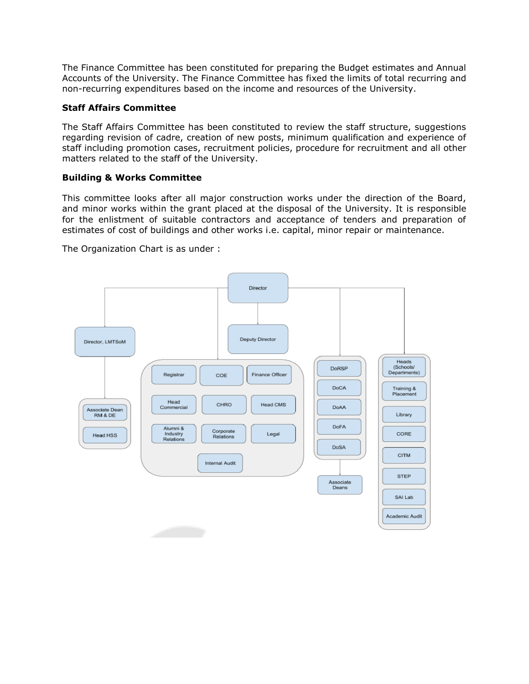The Finance Committee has been constituted for preparing the Budget estimates and Annual Accounts of the University. The Finance Committee has fixed the limits of total recurring and non-recurring expenditures based on the income and resources of the University.

## **Staff Affairs Committee**

The Staff Affairs Committee has been constituted to review the staff structure, suggestions regarding revision of cadre, creation of new posts, minimum qualification and experience of staff including promotion cases, recruitment policies, procedure for recruitment and all other matters related to the staff of the University.

### **Building & Works Committee**

This committee looks after all major construction works under the direction of the Board, and minor works within the grant placed at the disposal of the University. It is responsible for the enlistment of suitable contractors and acceptance of tenders and preparation of estimates of cost of buildings and other works i.e. capital, minor repair or maintenance.

The Organization Chart is as under :

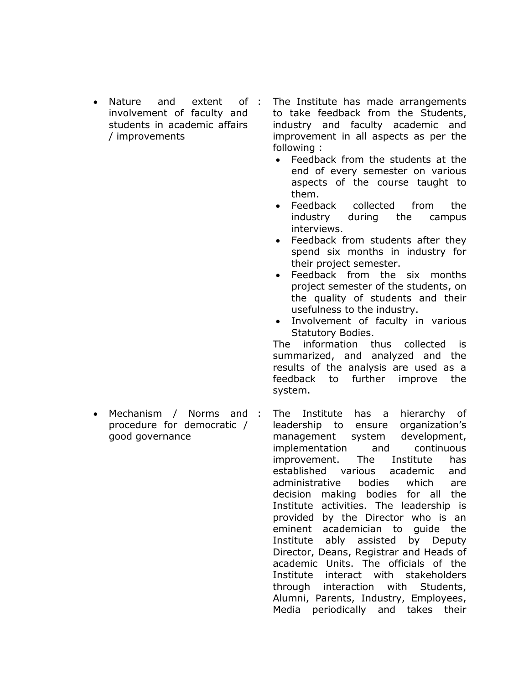- Nature and extent of involvement of faculty and students in academic affairs / improvements
- The Institute has made arrangements to take feedback from the Students, industry and faculty academic and improvement in all aspects as per the following :
	- Feedback from the students at the end of every semester on various aspects of the course taught to them.
	- Feedback collected from the industry during the campus interviews.
	- Feedback from students after they spend six months in industry for their project semester.
	- Feedback from the six months project semester of the students, on the quality of students and their usefulness to the industry.
	- Involvement of faculty in various Statutory Bodies.

The information thus collected is summarized, and analyzed and the results of the analysis are used as a feedback to further improve the system.

• Mechanism / Norms and : procedure for democratic / good governance

The Institute has a hierarchy of leadership to ensure organization's management system development, implementation and continuous improvement. The Institute has established various academic and administrative bodies which are decision making bodies for all the Institute activities. The leadership is provided by the Director who is an eminent academician to guide the Institute ably assisted by Deputy Director, Deans, Registrar and Heads of academic Units. The officials of the Institute interact with stakeholders through interaction with Students, Alumni, Parents, Industry, Employees, Media periodically and takes their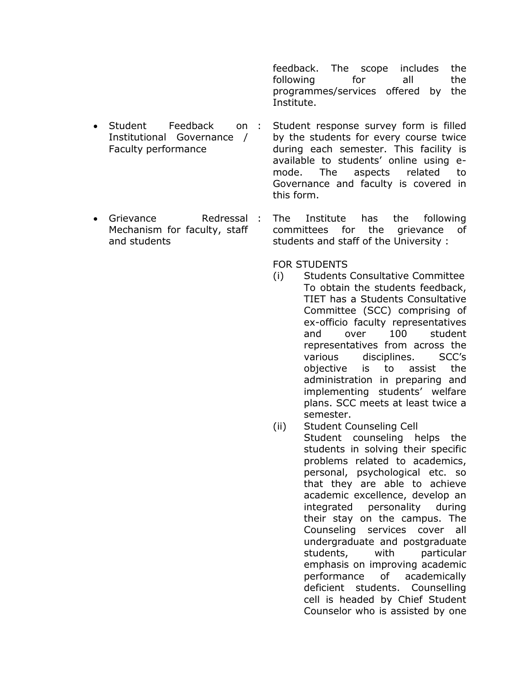feedback. The scope includes the following for all the programmes/services offered by the Institute.

- Student Feedback on : Institutional Governance / Faculty performance Student response survey form is filled by the students for every course twice during each semester. This facility is available to students' online using emode. The aspects related to Governance and faculty is covered in
- Grievance Redressal : Mechanism for faculty, staff and students The Institute has the following committees for the grievance of students and staff of the University :

this form.

FOR STUDENTS

- (i) Students Consultative Committee To obtain the students feedback, TIET has a Students Consultative Committee (SCC) comprising of ex-officio faculty representatives and over 100 student representatives from across the various disciplines. SCC's objective is to assist the administration in preparing and implementing students' welfare plans. SCC meets at least twice a semester.
- (ii) Student Counseling Cell

Student counseling helps the students in solving their specific problems related to academics, personal, psychological etc. so that they are able to achieve academic excellence, develop an integrated personality during their stay on the campus. The Counseling services cover all undergraduate and postgraduate students, with particular emphasis on improving academic performance of academically deficient students. Counselling cell is headed by Chief Student Counselor who is assisted by one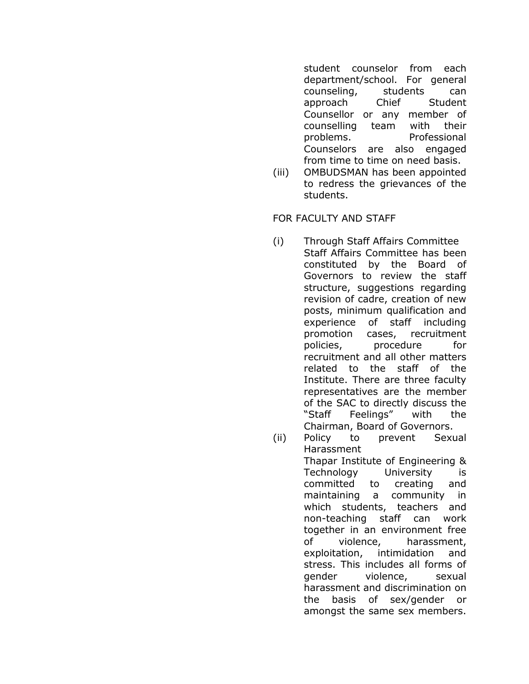student counselor from each department/school. For general counseling, students can approach Chief Student Counsellor or any member of counselling team with their problems. Professional Counselors are also engaged from time to time on need basis.

(iii) OMBUDSMAN has been appointed to redress the grievances of the students.

FOR FACULTY AND STAFF

- (i) Through Staff Affairs Committee Staff Affairs Committee has been constituted by the Board of Governors to review the staff structure, suggestions regarding revision of cadre, creation of new posts, minimum qualification and experience of staff including promotion cases, recruitment policies, procedure for recruitment and all other matters related to the staff of the Institute. There are three faculty representatives are the member of the SAC to directly discuss the "Staff Feelings" with the Chairman, Board of Governors.
- (ii) Policy to prevent Sexual Harassment Thapar Institute of Engineering & Technology University is committed to creating and maintaining a community in which students, teachers and non-teaching staff can work together in an environment free of violence, harassment, exploitation, intimidation and stress. This includes all forms of gender violence, sexual harassment and discrimination on the basis of sex/gender or amongst the same sex members.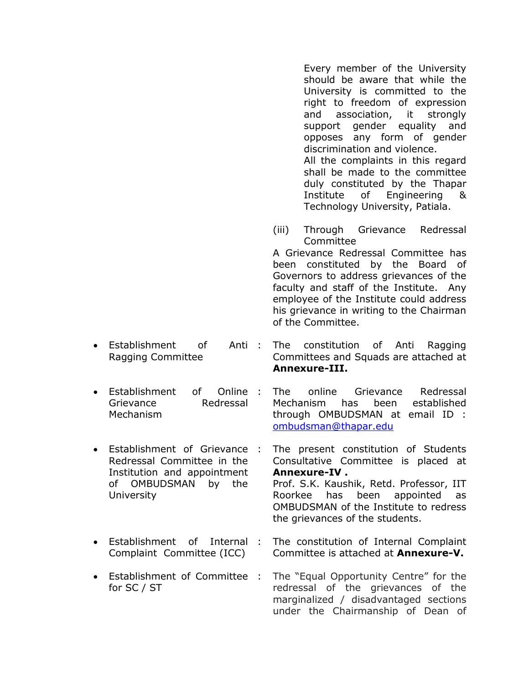Every member of the University should be aware that while the University is committed to the right to freedom of expression and association, it strongly support gender equality and opposes any form of gender discrimination and violence. All the complaints in this regard shall be made to the committee duly constituted by the Thapar Institute of Engineering & Technology University, Patiala.

(iii) Through Grievance Redressal Committee

A Grievance Redressal Committee has been constituted by the Board of Governors to address grievances of the faculty and staff of the Institute. Any employee of the Institute could address his grievance in writing to the Chairman of the Committee.

- Establishment of Anti: Ragging Committee
- Establishment of Online Grievance Redressal Mechanism
- Establishment of Grievance Redressal Committee in the Institution and appointment of OMBUDSMAN by the **University**
- Establishment of Internal : Complaint Committee (ICC)
- Establishment of Committee : for SC / ST
- The constitution of Anti Ragging Committees and Squads are attached at **Annexure-III.**
- : The online Grievance Redressal Mechanism has been established through OMBUDSMAN at email ID : [ombudsman@thapar.edu](mailto:ombudsman@thapar.edu)
	- The present constitution of Students Consultative Committee is placed at **Annexure-IV .** Prof. S.K. Kaushik, Retd. Professor, IIT Roorkee has been appointed as OMBUDSMAN of the Institute to redress the grievances of the students.
- The constitution of Internal Complaint Committee is attached at **Annexure-V.**
- The "Equal Opportunity Centre" for the redressal of the grievances of the marginalized / disadvantaged sections under the Chairmanship of Dean of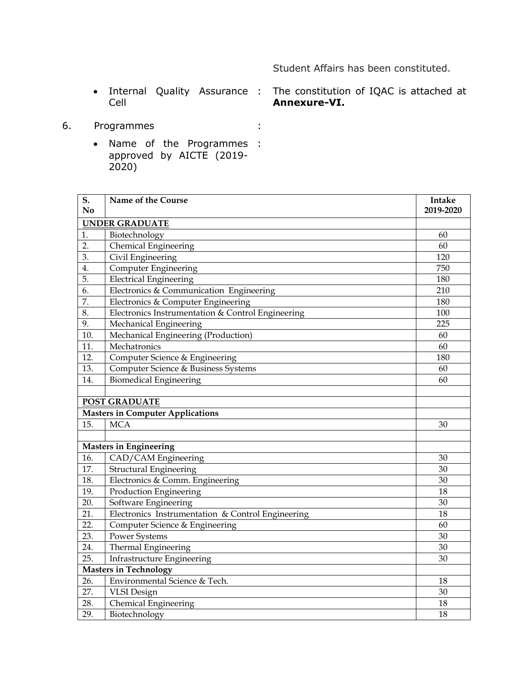# Student Affairs has been constituted.

• Internal Quality Assurance : Cell

: The constitution of IQAC is attached at **Annexure-VI.**

- 6. Programmes :
	- Name of the Programmes : approved by AICTE (2019- 2020)

| S.        | Name of the Course                                | Intake    |
|-----------|---------------------------------------------------|-----------|
| <b>No</b> |                                                   | 2019-2020 |
|           | <b>UNDER GRADUATE</b>                             |           |
| 1.        | Biotechnology                                     | 60        |
| 2.        | Chemical Engineering                              | 60        |
| 3.        | Civil Engineering                                 | 120       |
| 4.        | Computer Engineering                              | 750       |
| 5.        | <b>Electrical Engineering</b>                     | 180       |
| 6.        | Electronics & Communication Engineering           | 210       |
| 7.        | Electronics & Computer Engineering                | 180       |
| 8.        | Electronics Instrumentation & Control Engineering | 100       |
| 9.        | Mechanical Engineering                            | 225       |
| 10.       | Mechanical Engineering (Production)               | 60        |
| 11.       | Mechatronics                                      | 60        |
| 12.       | Computer Science & Engineering                    | 180       |
| 13.       | Computer Science & Business Systems               | 60        |
| 14.       | <b>Biomedical Engineering</b>                     | 60        |
|           |                                                   |           |
|           | <b>POST GRADUATE</b>                              |           |
|           | <b>Masters in Computer Applications</b>           |           |
| 15.       | <b>MCA</b>                                        | 30        |
|           |                                                   |           |
|           | <b>Masters in Engineering</b>                     |           |
| 16.       | CAD/CAM Engineering                               | 30        |
| 17.       | <b>Structural Engineering</b>                     | 30        |
| 18.       | Electronics & Comm. Engineering                   | 30        |
| 19.       | Production Engineering                            | 18        |
| 20.       | Software Engineering                              | 30        |
| 21.       | Electronics Instrumentation & Control Engineering | 18        |
| 22.       | Computer Science & Engineering                    | 60        |
| 23.       | <b>Power Systems</b>                              | 30        |
| 24.       | Thermal Engineering                               | 30        |
| 25.       | Infrastructure Engineering                        | 30        |
|           | <b>Masters in Technology</b>                      |           |
| 26.       | Environmental Science & Tech.                     | 18        |
| 27.       | <b>VLSI</b> Design                                | 30        |
| 28.       | Chemical Engineering                              | 18        |
| 29.       | Biotechnology                                     | 18        |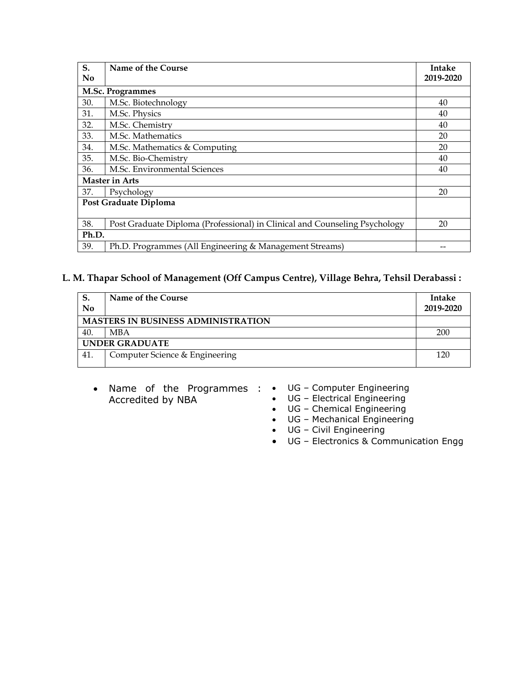| S.    | Name of the Course                                                         | <b>Intake</b> |
|-------|----------------------------------------------------------------------------|---------------|
| No    |                                                                            | 2019-2020     |
|       | M.Sc. Programmes                                                           |               |
| 30.   | M.Sc. Biotechnology                                                        | 40            |
| 31.   | M.Sc. Physics                                                              | 40            |
| 32.   | M.Sc. Chemistry                                                            | 40            |
| 33.   | M.Sc. Mathematics                                                          | 20            |
| 34.   | M.Sc. Mathematics & Computing                                              | 20            |
| 35.   | M.Sc. Bio-Chemistry                                                        | 40            |
| 36.   | M.Sc. Environmental Sciences                                               | 40            |
|       | <b>Master in Arts</b>                                                      |               |
| 37.   | Psychology                                                                 | 20            |
|       | Post Graduate Diploma                                                      |               |
|       |                                                                            |               |
| 38.   | Post Graduate Diploma (Professional) in Clinical and Counseling Psychology | 20            |
| Ph.D. |                                                                            |               |
| 39.   | Ph.D. Programmes (All Engineering & Management Streams)                    |               |

# **L. M. Thapar School of Management (Off Campus Centre), Village Behra, Tehsil Derabassi :**

| No                                        | Name of the Course             | <b>Intake</b><br>2019-2020 |  |  |  |
|-------------------------------------------|--------------------------------|----------------------------|--|--|--|
| <b>MASTERS IN BUSINESS ADMINISTRATION</b> |                                |                            |  |  |  |
| 40.                                       | <b>MBA</b>                     | 200                        |  |  |  |
| <b>UNDER GRADUATE</b>                     |                                |                            |  |  |  |
| 41.                                       | Computer Science & Engineering | 120                        |  |  |  |

- Name of the Programmes : UG Computer Engineering Accredited by NBA
- - UG Electrical Engineering
	- UG Chemical Engineering
	- UG Mechanical Engineering
	- UG Civil Engineering
	- UG Electronics & Communication Engg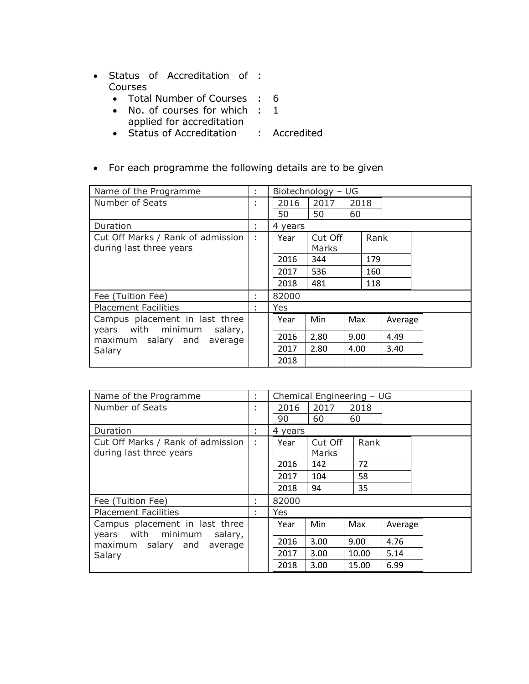- Status of Accreditation of : Courses
	- Total Number of Courses : 6
	- No. of courses for which : 1 applied for accreditation
	- Status of Accreditation : Accredited
- For each programme the following details are to be given

| Name of the Programme                                           | ÷            | Biotechnology - UG |         |      |      |         |  |  |
|-----------------------------------------------------------------|--------------|--------------------|---------|------|------|---------|--|--|
| Number of Seats                                                 | $\mathbf{r}$ | 2016               | 2017    | 2018 |      |         |  |  |
|                                                                 |              | 50                 | 50      | 60   |      |         |  |  |
| Duration                                                        | ÷            | 4 years            |         |      |      |         |  |  |
| Cut Off Marks / Rank of admission                               | ÷            | Year               | Cut Off |      | Rank |         |  |  |
| during last three years                                         |              |                    | Marks   |      |      |         |  |  |
|                                                                 |              | 2016               | 344     |      | 179  |         |  |  |
|                                                                 |              | 2017               | 536     |      | 160  |         |  |  |
|                                                                 |              | 2018               | 481     |      | 118  |         |  |  |
| Fee (Tuition Fee)                                               | ÷            | 82000              |         |      |      |         |  |  |
| <b>Placement Facilities</b>                                     | ÷            | Yes                |         |      |      |         |  |  |
| Campus placement in last three<br>years with minimum<br>salary, |              | Year               | Min     | Max  |      | Average |  |  |
| maximum salary and<br>average                                   |              | 2016               | 2.80    | 9.00 |      | 4.49    |  |  |
| Salary                                                          |              | 2017               | 2.80    | 4.00 |      | 3.40    |  |  |
|                                                                 |              | 2018               |         |      |      |         |  |  |

| Name of the Programme                                              | ÷            | Chemical Engineering - UG |         |       |         |  |
|--------------------------------------------------------------------|--------------|---------------------------|---------|-------|---------|--|
| Number of Seats                                                    | $\mathbf{r}$ | 2016                      | 2017    | 2018  |         |  |
|                                                                    |              | 90                        | 60      | 60    |         |  |
| Duration                                                           | ÷            | 4 years                   |         |       |         |  |
| Cut Off Marks / Rank of admission                                  | ÷            | Year                      | Cut Off | Rank  |         |  |
| during last three years                                            |              |                           | Marks   |       |         |  |
|                                                                    |              | 2016                      | 142     | 72    |         |  |
|                                                                    |              | 2017                      | 104     | 58    |         |  |
|                                                                    |              | 2018                      | 94      | 35    |         |  |
| Fee (Tuition Fee)                                                  | ÷            | 82000                     |         |       |         |  |
| <b>Placement Facilities</b>                                        | ÷            | Yes                       |         |       |         |  |
| Campus placement in last three<br>with minimum<br>salary,<br>years |              | Year                      | Min     | Max   | Average |  |
| maximum salary and<br>average                                      |              | 2016                      | 3.00    | 9.00  | 4.76    |  |
| Salary                                                             |              | 2017                      | 3.00    | 10.00 | 5.14    |  |
|                                                                    |              | 2018                      | 3.00    | 15.00 | 6.99    |  |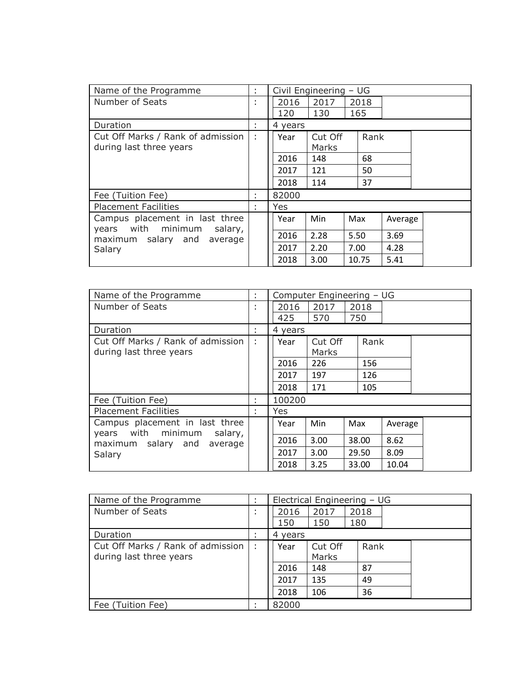| Name of the Programme                                              | ÷      |         | Civil Engineering - UG |       |         |  |  |  |
|--------------------------------------------------------------------|--------|---------|------------------------|-------|---------|--|--|--|
| Number of Seats                                                    | ٠<br>÷ | 2016    | 2017                   | 2018  |         |  |  |  |
|                                                                    |        | 120     | 130                    | 165   |         |  |  |  |
| Duration                                                           | ٠      | 4 years |                        |       |         |  |  |  |
| Cut Off Marks / Rank of admission                                  | ÷      | Year    | Cut Off                | Rank  |         |  |  |  |
| during last three years                                            |        |         | Marks                  |       |         |  |  |  |
|                                                                    |        | 2016    | 148                    | 68    |         |  |  |  |
|                                                                    |        | 2017    | 121                    | 50    |         |  |  |  |
|                                                                    |        | 2018    | 114                    | 37    |         |  |  |  |
| Fee (Tuition Fee)                                                  | ÷      | 82000   |                        |       |         |  |  |  |
| <b>Placement Facilities</b>                                        | ٠      | Yes.    |                        |       |         |  |  |  |
| Campus placement in last three<br>with minimum<br>salary,<br>years |        | Year    | Min                    | Max   | Average |  |  |  |
| maximum salary and<br>average                                      |        | 2016    | 2.28                   | 5.50  | 3.69    |  |  |  |
| Salary                                                             |        | 2017    | 2.20                   | 7.00  | 4.28    |  |  |  |
|                                                                    |        | 2018    | 3.00                   | 10.75 | 5.41    |  |  |  |

| Name of the Programme                                              | ÷.                | Computer Engineering - UG |         |       |         |  |
|--------------------------------------------------------------------|-------------------|---------------------------|---------|-------|---------|--|
| Number of Seats                                                    | ٠<br>$\mathbf{r}$ | 2016                      | 2017    | 2018  |         |  |
|                                                                    |                   | 425                       | 570     | 750   |         |  |
| Duration                                                           | ÷.                | 4 years                   |         |       |         |  |
| Cut Off Marks / Rank of admission                                  | ÷                 | Year                      | Cut Off | Rank  |         |  |
| during last three years                                            |                   |                           | Marks   |       |         |  |
|                                                                    |                   | 2016                      | 226     | 156   |         |  |
|                                                                    |                   | 2017                      | 197     | 126   |         |  |
|                                                                    |                   | 2018                      | 171     | 105   |         |  |
| Fee (Tuition Fee)                                                  | ÷                 | 100200                    |         |       |         |  |
| <b>Placement Facilities</b>                                        | ÷                 | Yes                       |         |       |         |  |
| Campus placement in last three<br>with minimum<br>salary,<br>years |                   | Year                      | Min     | Max   | Average |  |
| maximum salary and<br>average                                      |                   | 2016                      | 3.00    | 38.00 | 8.62    |  |
| Salary                                                             |                   | 2017                      | 3.00    | 29.50 | 8.09    |  |
|                                                                    |                   | 2018                      | 3.25    | 33.00 | 10.04   |  |

| Name of the Programme                                        |   | Electrical Engineering - UG |                  |             |  |  |  |
|--------------------------------------------------------------|---|-----------------------------|------------------|-------------|--|--|--|
| Number of Seats                                              | ٠ | 2016<br>150                 | 2017<br>150      | 2018<br>180 |  |  |  |
|                                                              |   |                             |                  |             |  |  |  |
| Duration                                                     |   | 4 years                     |                  |             |  |  |  |
| Cut Off Marks / Rank of admission<br>during last three years |   | Year                        | Cut Off<br>Marks | Rank        |  |  |  |
|                                                              |   | 2016                        | 148              | 87          |  |  |  |
|                                                              |   | 2017                        | 135              | 49          |  |  |  |
|                                                              |   | 2018                        | 106              | 36          |  |  |  |
| Fee (Tuition Fee)                                            |   | 82000                       |                  |             |  |  |  |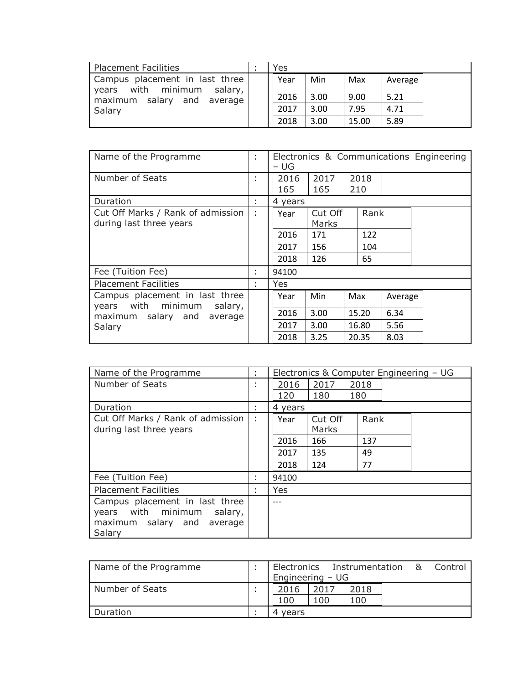| Placement Facilities                                                                                         | Yes  |      |       |         |  |
|--------------------------------------------------------------------------------------------------------------|------|------|-------|---------|--|
| Campus placement in last three<br>with minimum<br>salary, I<br>years<br>maximum salary and average<br>Salary | Year | Min  | Max   | Average |  |
|                                                                                                              | 2016 | 3.00 | 9.00  | 5.21    |  |
|                                                                                                              | 2017 | 3.00 | 7.95  | 4.71    |  |
|                                                                                                              | 2018 | 3.00 | 15.00 | 5.89    |  |

| Name of the Programme                                              | ÷                 | Electronics & Communications Engineering<br>– UG |                  |       |         |  |  |
|--------------------------------------------------------------------|-------------------|--------------------------------------------------|------------------|-------|---------|--|--|
| Number of Seats                                                    | ٠<br>$\mathbf{r}$ | 2016                                             | 2017             | 2018  |         |  |  |
|                                                                    |                   | 165                                              | 165              | 210   |         |  |  |
| Duration                                                           | ÷                 | 4 years                                          |                  |       |         |  |  |
| Cut Off Marks / Rank of admission<br>during last three years       |                   | Year                                             | Cut Off<br>Marks | Rank  |         |  |  |
|                                                                    |                   | 2016                                             | 171              | 122   |         |  |  |
|                                                                    |                   | 2017                                             | 156              | 104   |         |  |  |
|                                                                    |                   | 2018                                             | 126              | 65    |         |  |  |
| Fee (Tuition Fee)                                                  | ٠<br>×.           | 94100                                            |                  |       |         |  |  |
| <b>Placement Facilities</b>                                        | ٠<br>×.           | Yes                                              |                  |       |         |  |  |
| Campus placement in last three<br>with minimum<br>salary,<br>years |                   | Year                                             | Min              | Max   | Average |  |  |
| maximum salary and<br>average                                      |                   | 2016                                             | 3.00             | 15.20 | 6.34    |  |  |
| Salary                                                             |                   | 2017                                             | 3.00             | 16.80 | 5.56    |  |  |
|                                                                    |                   | 2018                                             | 3.25             | 20.35 | 8.03    |  |  |

| Name of the Programme             | ÷                 | Electronics & Computer Engineering - UG |         |      |  |  |  |
|-----------------------------------|-------------------|-----------------------------------------|---------|------|--|--|--|
| Number of Seats                   | ÷                 | 2016                                    | 2017    | 2018 |  |  |  |
|                                   |                   | 120                                     | 180     | 180  |  |  |  |
| Duration                          | ÷                 | 4 years                                 |         |      |  |  |  |
| Cut Off Marks / Rank of admission | ÷                 | Year                                    | Cut Off | Rank |  |  |  |
| during last three years           |                   |                                         | Marks   |      |  |  |  |
|                                   |                   | 2016                                    | 166     | 137  |  |  |  |
|                                   |                   | 2017                                    | 135     | 49   |  |  |  |
|                                   |                   | 2018                                    | 124     | 77   |  |  |  |
| Fee (Tuition Fee)                 | ٠<br>$\mathbf{r}$ | 94100                                   |         |      |  |  |  |
| <b>Placement Facilities</b>       | ÷                 | Yes                                     |         |      |  |  |  |
| Campus placement in last three    |                   |                                         |         |      |  |  |  |
| with minimum<br>salary,<br>years  |                   |                                         |         |      |  |  |  |
| maximum salary and<br>average     |                   |                                         |         |      |  |  |  |
| Salary                            |                   |                                         |         |      |  |  |  |

| Name of the Programme | Engineering $-$ UG |      | Electronics Instrumentation | 84. | Control |
|-----------------------|--------------------|------|-----------------------------|-----|---------|
| Number of Seats       | 2016               | 2017 | 2018                        |     |         |
|                       | 100                | 100  | 100                         |     |         |
| Duration              | vears<br>4         |      |                             |     |         |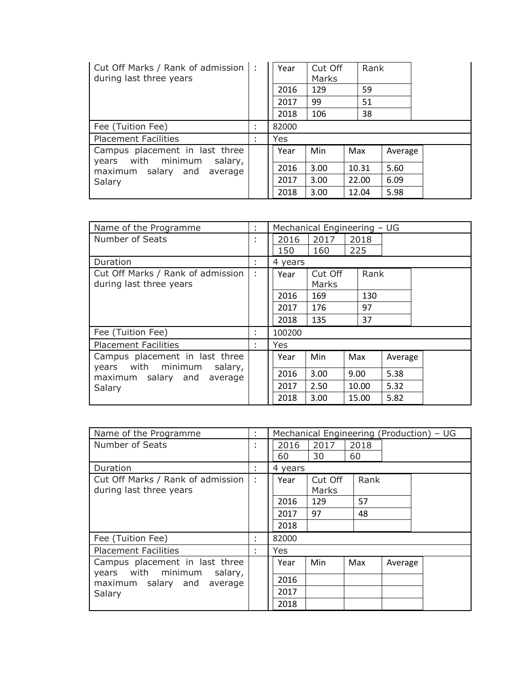| Cut Off Marks / Rank of admission   :<br>during last three years   |        | Year  | Cut Off<br>Marks | Rank  |         |  |
|--------------------------------------------------------------------|--------|-------|------------------|-------|---------|--|
|                                                                    |        | 2016  | 129              | 59    |         |  |
|                                                                    |        | 2017  | 99               | 51    |         |  |
|                                                                    |        | 2018  | 106              | 38    |         |  |
| Fee (Tuition Fee)                                                  | ٠      | 82000 |                  |       |         |  |
| <b>Placement Facilities</b>                                        | ٠<br>٠ | Yes   |                  |       |         |  |
| Campus placement in last three<br>with minimum<br>salary,<br>years |        | Year  | Min              | Max   | Average |  |
| maximum salary and<br>average                                      |        | 2016  | 3.00             | 10.31 | 5.60    |  |
| Salary                                                             |        | 2017  | 3.00             | 22.00 | 6.09    |  |
|                                                                    |        | 2018  | 3.00             | 12.04 | 5.98    |  |

| Name of the Programme                                     | ÷.                |            | Mechanical Engineering - UG |       |         |  |  |
|-----------------------------------------------------------|-------------------|------------|-----------------------------|-------|---------|--|--|
| Number of Seats                                           | ٠<br>$\mathbf{r}$ | 2016       | 2017                        | 2018  |         |  |  |
|                                                           |                   | 150        | 160                         | 225   |         |  |  |
| Duration                                                  | ÷                 | 4 years    |                             |       |         |  |  |
| Cut Off Marks / Rank of admission                         | ÷                 | Year       | Cut Off                     | Rank  |         |  |  |
| during last three years                                   |                   |            | Marks                       |       |         |  |  |
|                                                           |                   | 2016       | 169                         | 130   |         |  |  |
|                                                           |                   | 2017       | 176                         | 97    |         |  |  |
|                                                           |                   | 2018       | 135                         | 37    |         |  |  |
| Fee (Tuition Fee)                                         | ÷                 | 100200     |                             |       |         |  |  |
| <b>Placement Facilities</b>                               | ٠                 | <b>Yes</b> |                             |       |         |  |  |
| Campus placement in last three<br>with minimum<br>salary, |                   | Year       | Min                         | Max   | Average |  |  |
| years<br>maximum salary and<br>average                    |                   | 2016       | 3.00                        | 9.00  | 5.38    |  |  |
| Salary                                                    |                   | 2017       | 2.50                        | 10.00 | 5.32    |  |  |
|                                                           |                   | 2018       | 3.00                        | 15.00 | 5.82    |  |  |

| Name of the Programme                             | ÷.                | Mechanical Engineering (Production) - UG |         |      |         |  |
|---------------------------------------------------|-------------------|------------------------------------------|---------|------|---------|--|
| Number of Seats                                   | ٠<br>$\mathbf{r}$ | 2016                                     | 2017    | 2018 |         |  |
|                                                   |                   | 60                                       | 30      | 60   |         |  |
| Duration                                          | ÷.                | 4 years                                  |         |      |         |  |
| Cut Off Marks / Rank of admission                 | ÷                 | Year                                     | Cut Off | Rank |         |  |
| during last three years                           |                   |                                          | Marks   |      |         |  |
|                                                   |                   | 2016                                     | 129     | 57   |         |  |
|                                                   |                   | 2017                                     | 97      | 48   |         |  |
|                                                   |                   | 2018                                     |         |      |         |  |
| Fee (Tuition Fee)                                 | ٠<br>٠            | 82000                                    |         |      |         |  |
| <b>Placement Facilities</b>                       | ٠                 | <b>Yes</b>                               |         |      |         |  |
| Campus placement in last three<br>with minimum    |                   | Year                                     | Min     | Max  | Average |  |
| salary,<br>years<br>maximum salary and<br>average |                   | 2016                                     |         |      |         |  |
| Salary                                            |                   | 2017                                     |         |      |         |  |
|                                                   |                   | 2018                                     |         |      |         |  |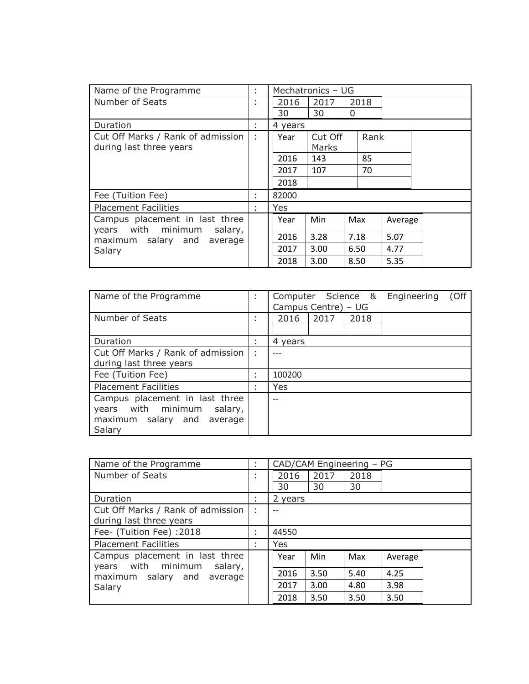| Name of the Programme                                              | ÷      | Mechatronics - UG |         |      |         |  |  |
|--------------------------------------------------------------------|--------|-------------------|---------|------|---------|--|--|
| Number of Seats                                                    | ٠<br>٠ | 2016              | 2017    | 2018 |         |  |  |
|                                                                    |        | 30                | 30      | 0    |         |  |  |
| Duration                                                           | ÷      | 4 years           |         |      |         |  |  |
| Cut Off Marks / Rank of admission                                  | ÷      | Year              | Cut Off | Rank |         |  |  |
| during last three years                                            |        |                   | Marks   |      |         |  |  |
|                                                                    |        | 2016              | 143     | 85   |         |  |  |
|                                                                    |        | 2017              | 107     | 70   |         |  |  |
|                                                                    |        | 2018              |         |      |         |  |  |
| Fee (Tuition Fee)                                                  | t      | 82000             |         |      |         |  |  |
| <b>Placement Facilities</b>                                        | ٠      | Yes               |         |      |         |  |  |
| Campus placement in last three<br>with minimum<br>salary,<br>years |        | Year              | Min     | Max  | Average |  |  |
| maximum salary and<br>average                                      |        | 2016              | 3.28    | 7.18 | 5.07    |  |  |
| Salary                                                             |        | 2017              | 3.00    | 6.50 | 4.77    |  |  |
|                                                                    |        | 2018              | 3.00    | 8.50 | 5.35    |  |  |

| Name of the Programme                                                                                      | ٠<br>$\mathbf{r}$ | (Off<br>Computer Science &<br>Engineering<br>Campus Centre) - UG |  |  |  |  |  |  |
|------------------------------------------------------------------------------------------------------------|-------------------|------------------------------------------------------------------|--|--|--|--|--|--|
| Number of Seats                                                                                            | ٠<br>$\mathbf{r}$ | 2016<br>2017<br>2018                                             |  |  |  |  |  |  |
| Duration                                                                                                   |                   | 4 years                                                          |  |  |  |  |  |  |
| Cut Off Marks / Rank of admission<br>during last three years                                               | ÷                 |                                                                  |  |  |  |  |  |  |
| Fee (Tuition Fee)                                                                                          | ٠<br>$\mathbf{r}$ | 100200                                                           |  |  |  |  |  |  |
| <b>Placement Facilities</b>                                                                                | ÷                 | Yes                                                              |  |  |  |  |  |  |
| Campus placement in last three<br>with minimum<br>salary,<br>years<br>maximum salary and average<br>Salary |                   | $-$                                                              |  |  |  |  |  |  |

| Name of the Programme                                              | CAD/CAM Engineering - PG |      |      |         |  |
|--------------------------------------------------------------------|--------------------------|------|------|---------|--|
| Number of Seats                                                    | 2016                     | 2017 | 2018 |         |  |
|                                                                    | 30                       | 30   | 30   |         |  |
| Duration                                                           | 2 years                  |      |      |         |  |
| Cut Off Marks / Rank of admission                                  |                          |      |      |         |  |
| during last three years                                            |                          |      |      |         |  |
| Fee- (Tuition Fee) : 2018                                          | 44550                    |      |      |         |  |
| <b>Placement Facilities</b>                                        | Yes                      |      |      |         |  |
| Campus placement in last three<br>with minimum<br>salary,<br>vears | Year                     | Min  | Max  | Average |  |
| maximum salary and<br>average                                      | 2016                     | 3.50 | 5.40 | 4.25    |  |
| Salary                                                             | 2017                     | 3.00 | 4.80 | 3.98    |  |
|                                                                    | 2018                     | 3.50 | 3.50 | 3.50    |  |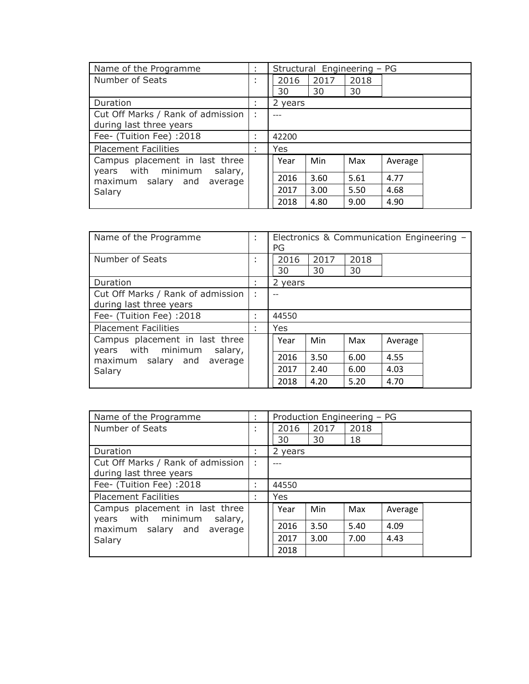| Name of the Programme                                           | ÷                 |         | Structural Engineering - PG |      |         |  |  |
|-----------------------------------------------------------------|-------------------|---------|-----------------------------|------|---------|--|--|
| Number of Seats                                                 | ٠<br>$\mathbf{r}$ | 2016    | 2017                        | 2018 |         |  |  |
|                                                                 |                   | 30      | 30                          | 30   |         |  |  |
| Duration                                                        | ٠<br>$\mathbf{r}$ | 2 years |                             |      |         |  |  |
| Cut Off Marks / Rank of admission                               | ÷                 |         |                             |      |         |  |  |
| during last three years                                         |                   |         |                             |      |         |  |  |
| Fee- (Tuition Fee) :2018                                        | ٠<br>٠            | 42200   |                             |      |         |  |  |
| <b>Placement Facilities</b>                                     | ÷                 | Yes     |                             |      |         |  |  |
| Campus placement in last three<br>years with minimum<br>salary, |                   | Year    | Min                         | Max  | Average |  |  |
| maximum salary and<br>average                                   |                   | 2016    | 3.60                        | 5.61 | 4.77    |  |  |
| Salary                                                          |                   | 2017    | 3.00                        | 5.50 | 4.68    |  |  |
|                                                                 |                   | 2018    | 4.80                        | 9.00 | 4.90    |  |  |

| Name of the Programme                                           | ٠<br>$\mathbf{r}$ | Electronics & Communication Engineering -<br>PG |            |            |         |  |
|-----------------------------------------------------------------|-------------------|-------------------------------------------------|------------|------------|---------|--|
| Number of Seats                                                 | ٠<br>$\mathbf{r}$ | 2016<br>30                                      | 2017<br>30 | 2018<br>30 |         |  |
| Duration                                                        | ÷                 | 2 years                                         |            |            |         |  |
| Cut Off Marks / Rank of admission<br>during last three years    | ÷                 |                                                 |            |            |         |  |
| Fee- (Tuition Fee) :2018                                        | ٠<br>$\mathbf{r}$ | 44550                                           |            |            |         |  |
| <b>Placement Facilities</b>                                     | ÷                 | Yes                                             |            |            |         |  |
| Campus placement in last three<br>years with minimum<br>salary, |                   | Year                                            | Min        | Max        | Average |  |
| maximum salary and<br>average                                   |                   | 2016                                            | 3.50       | 6.00       | 4.55    |  |
| Salary                                                          |                   | 2017                                            | 2.40       | 6.00       | 4.03    |  |
|                                                                 |                   | 2018                                            | 4.20       | 5.20       | 4.70    |  |

| Name of the Programme                                           | t                 |         | Production Engineering - PG |      |         |  |  |
|-----------------------------------------------------------------|-------------------|---------|-----------------------------|------|---------|--|--|
| Number of Seats                                                 | $\mathbf{r}$      | 2016    | 2017                        | 2018 |         |  |  |
|                                                                 |                   | 30      | 30                          | 18   |         |  |  |
| Duration                                                        | $\mathbf{r}$      | 2 years |                             |      |         |  |  |
| Cut Off Marks / Rank of admission                               | ÷                 |         |                             |      |         |  |  |
| during last three years                                         |                   |         |                             |      |         |  |  |
| Fee- (Tuition Fee) :2018                                        | ٠<br>$\mathbf{r}$ | 44550   |                             |      |         |  |  |
| <b>Placement Facilities</b>                                     | ٠<br>$\mathbf{r}$ | Yes     |                             |      |         |  |  |
| Campus placement in last three<br>years with minimum<br>salary, |                   | Year    | Min                         | Max  | Average |  |  |
| maximum salary and<br>average                                   |                   | 2016    | 3.50                        | 5.40 | 4.09    |  |  |
| Salary                                                          |                   | 2017    | 3.00                        | 7.00 | 4.43    |  |  |
|                                                                 |                   | 2018    |                             |      |         |  |  |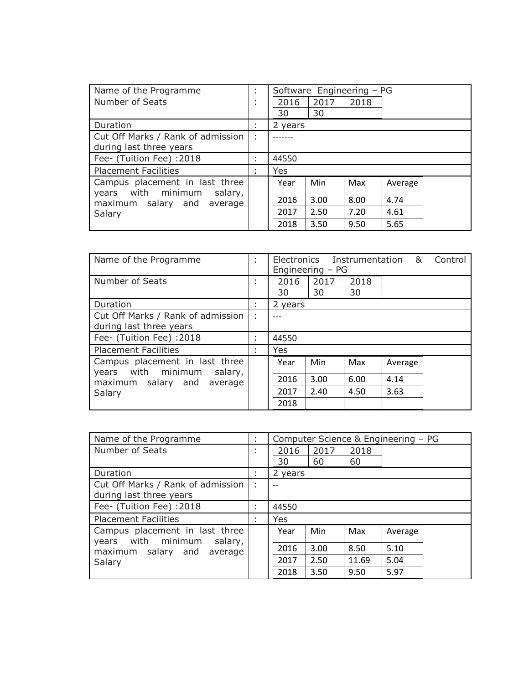| Name of the Programme                                           | ٠<br>$\mathbf{r}$ |         | Software Engineering - PG |      |         |  |
|-----------------------------------------------------------------|-------------------|---------|---------------------------|------|---------|--|
| Number of Seats                                                 | $\mathbf{r}$      | 2016    | 2017                      | 2018 |         |  |
|                                                                 |                   | 30      | 30                        |      |         |  |
| Duration                                                        | $\mathbf{r}$      | 2 years |                           |      |         |  |
| Cut Off Marks / Rank of admission                               | ÷                 |         |                           |      |         |  |
| during last three years                                         |                   |         |                           |      |         |  |
| Fee- (Tuition Fee) :2018                                        | ٠<br>×            | 44550   |                           |      |         |  |
| <b>Placement Facilities</b>                                     | ٠                 | Yes     |                           |      |         |  |
| Campus placement in last three<br>years with minimum<br>salary, |                   | Year    | Min                       | Max  | Average |  |
| maximum salary and<br>average                                   |                   | 2016    | 3.00                      | 8.00 | 4.74    |  |
| Salary                                                          |                   | 2017    | 2.50                      | 7.20 | 4.61    |  |
|                                                                 |                   | 2018    | 3.50                      | 9.50 | 5.65    |  |

| Name of the Programme                                                                                         | ٠<br>$\mathbf{r}$ | Electronics Instrumentation &<br>Control<br>Engineering $-$ PG |            |            |         |  |  |
|---------------------------------------------------------------------------------------------------------------|-------------------|----------------------------------------------------------------|------------|------------|---------|--|--|
| Number of Seats                                                                                               | ٠<br>$\mathbf{r}$ | 2016<br>30                                                     | 2017<br>30 | 2018<br>30 |         |  |  |
| Duration                                                                                                      | ٠<br>$\mathbf{r}$ | 2 years                                                        |            |            |         |  |  |
| Cut Off Marks / Rank of admission<br>during last three years                                                  | ÷                 |                                                                |            |            |         |  |  |
| Fee- (Tuition Fee) :2018                                                                                      | ٠<br>$\mathbf{r}$ | 44550                                                          |            |            |         |  |  |
| <b>Placement Facilities</b>                                                                                   | ٠<br>٠            | Yes                                                            |            |            |         |  |  |
| Campus placement in last three<br>with minimum<br>salary,<br>years<br>maximum salary and<br>average<br>Salary |                   | Year                                                           | Min        | Max        | Average |  |  |
|                                                                                                               |                   | 2016                                                           | 3.00       | 6.00       | 4.14    |  |  |
|                                                                                                               |                   | 2017                                                           | 2.40       | 4.50       | 3.63    |  |  |
|                                                                                                               |                   | 2018                                                           |            |            |         |  |  |

| Name of the Programme                                           | ÷                 | Computer Science & Engineering - PG |      |       |         |  |
|-----------------------------------------------------------------|-------------------|-------------------------------------|------|-------|---------|--|
| Number of Seats                                                 | ٠<br>$\mathbf{r}$ | 2016                                | 2017 | 2018  |         |  |
|                                                                 |                   | 30                                  | 60   | 60    |         |  |
| Duration                                                        | ٠<br>$\mathbf{r}$ | 2 years                             |      |       |         |  |
| Cut Off Marks / Rank of admission                               | ÷                 |                                     |      |       |         |  |
| during last three years                                         |                   |                                     |      |       |         |  |
| Fee- (Tuition Fee) :2018                                        | ٠<br>٠            | 44550                               |      |       |         |  |
| <b>Placement Facilities</b>                                     | ٠<br>$\mathbf{r}$ | Yes                                 |      |       |         |  |
| Campus placement in last three<br>years with minimum<br>salary, |                   | Year                                | Min  | Max   | Average |  |
| maximum salary and<br>average                                   |                   | 2016                                | 3.00 | 8.50  | 5.10    |  |
| Salary                                                          |                   | 2017                                | 2.50 | 11.69 | 5.04    |  |
|                                                                 |                   | 2018                                | 3.50 | 9.50  | 5.97    |  |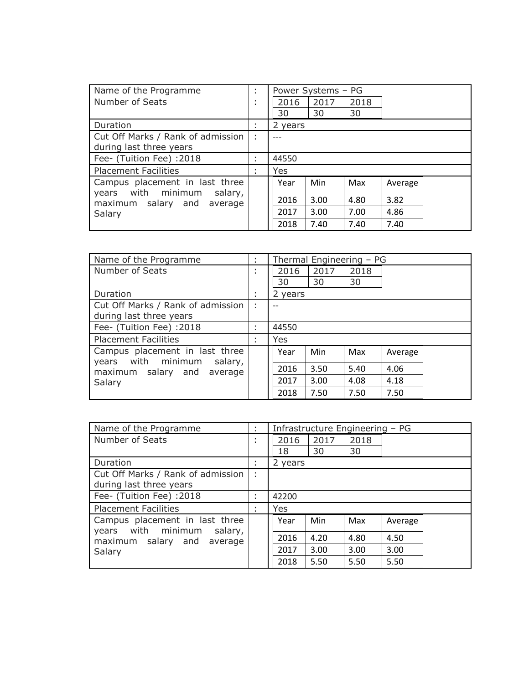| Name of the Programme                                | ÷            | Power Systems - PG |      |      |         |  |
|------------------------------------------------------|--------------|--------------------|------|------|---------|--|
| Number of Seats                                      | $\mathbf{r}$ | 2016               | 2017 | 2018 |         |  |
|                                                      |              | 30                 | 30   | 30   |         |  |
| Duration                                             | $\mathbf{r}$ | 2 years            |      |      |         |  |
| Cut Off Marks / Rank of admission                    | ÷            |                    |      |      |         |  |
| during last three years                              |              |                    |      |      |         |  |
| Fee- (Tuition Fee) :2018                             | $\mathbf{r}$ | 44550              |      |      |         |  |
| <b>Placement Facilities</b>                          | ٠<br>٠       | Yes                |      |      |         |  |
| Campus placement in last three<br>years with minimum |              | Year               | Min  | Max  | Average |  |
| salary,<br>maximum salary and<br>average             |              | 2016               | 3.00 | 4.80 | 3.82    |  |
| Salary                                               |              | 2017               | 3.00 | 7.00 | 4.86    |  |
|                                                      |              | 2018               | 7.40 | 7.40 | 7.40    |  |

| Name of the Programme                                              | ÷                 |         |      | Thermal Engineering - PG |         |  |
|--------------------------------------------------------------------|-------------------|---------|------|--------------------------|---------|--|
| Number of Seats                                                    | $\mathbf{r}$      | 2016    | 2017 | 2018                     |         |  |
|                                                                    |                   | 30      | 30   | 30                       |         |  |
| Duration                                                           |                   | 2 years |      |                          |         |  |
| Cut Off Marks / Rank of admission                                  | ÷                 |         |      |                          |         |  |
| during last three years                                            |                   |         |      |                          |         |  |
| Fee- (Tuition Fee) :2018                                           | ٠                 | 44550   |      |                          |         |  |
| <b>Placement Facilities</b>                                        | ٠<br>$\mathbf{r}$ | Yes     |      |                          |         |  |
| Campus placement in last three<br>with minimum<br>salary,<br>years |                   | Year    | Min  | Max                      | Average |  |
| maximum salary and<br>average                                      |                   | 2016    | 3.50 | 5.40                     | 4.06    |  |
| Salary                                                             |                   | 2017    | 3.00 | 4.08                     | 4.18    |  |
|                                                                    |                   | 2018    | 7.50 | 7.50                     | 7.50    |  |

| Name of the Programme                                           | ÷                   | Infrastructure Engineering - PG |      |      |         |  |
|-----------------------------------------------------------------|---------------------|---------------------------------|------|------|---------|--|
| Number of Seats                                                 | ٠<br>$\blacksquare$ | 2016                            | 2017 | 2018 |         |  |
|                                                                 |                     | 18                              | 30   | 30   |         |  |
| Duration                                                        |                     | 2 years                         |      |      |         |  |
| Cut Off Marks / Rank of admission                               | ÷                   |                                 |      |      |         |  |
| during last three years                                         |                     |                                 |      |      |         |  |
| Fee- (Tuition Fee) :2018                                        |                     | 42200                           |      |      |         |  |
| <b>Placement Facilities</b>                                     | ٠                   | Yes                             |      |      |         |  |
| Campus placement in last three<br>years with minimum<br>salary, |                     | Year                            | Min  | Max  | Average |  |
| maximum salary and<br>average                                   |                     | 2016                            | 4.20 | 4.80 | 4.50    |  |
| Salary                                                          |                     | 2017                            | 3.00 | 3.00 | 3.00    |  |
|                                                                 |                     | 2018                            | 5.50 | 5.50 | 5.50    |  |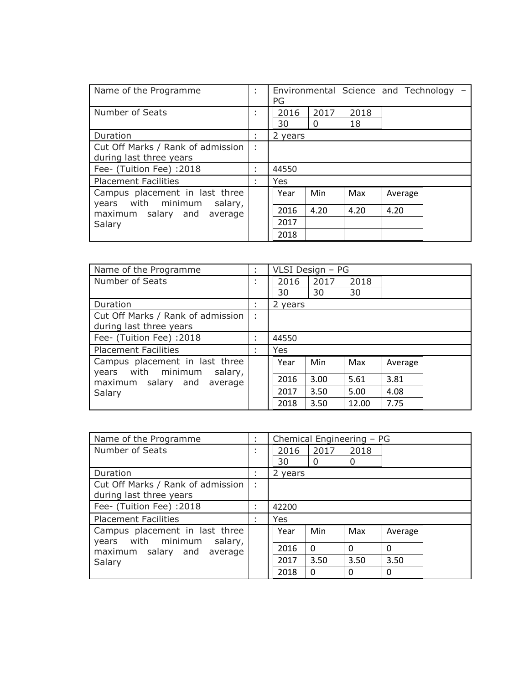| Name of the Programme                                           | ÷                 | Environmental Science and Technology -<br>PG |                  |            |         |  |
|-----------------------------------------------------------------|-------------------|----------------------------------------------|------------------|------------|---------|--|
| Number of Seats                                                 | ÷                 | 2016<br>30                                   | 2017<br>$\Omega$ | 2018<br>18 |         |  |
| Duration                                                        | ٠<br>$\mathbf{r}$ | 2 years                                      |                  |            |         |  |
| Cut Off Marks / Rank of admission                               | ÷                 |                                              |                  |            |         |  |
| during last three years                                         |                   |                                              |                  |            |         |  |
| Fee- (Tuition Fee) :2018                                        | ٠<br>$\mathbf{r}$ | 44550                                        |                  |            |         |  |
| <b>Placement Facilities</b>                                     | ÷                 | Yes                                          |                  |            |         |  |
| Campus placement in last three<br>years with minimum<br>salary, |                   | Year                                         | Min              | Max        | Average |  |
| maximum salary and<br>average                                   |                   | 2016                                         | 4.20             | 4.20       | 4.20    |  |
| Salary                                                          |                   | 2017                                         |                  |            |         |  |
|                                                                 |                   | 2018                                         |                  |            |         |  |

| Name of the Programme                                           | ÷                 | VLSI Design - PG |      |       |         |  |
|-----------------------------------------------------------------|-------------------|------------------|------|-------|---------|--|
| Number of Seats                                                 | ٠<br>$\mathbf{r}$ | 2016             | 2017 | 2018  |         |  |
|                                                                 |                   | 30               | 30   | 30    |         |  |
| Duration                                                        | $\mathbf{r}$      | 2 years          |      |       |         |  |
| Cut Off Marks / Rank of admission                               | ٠                 |                  |      |       |         |  |
| during last three years                                         |                   |                  |      |       |         |  |
| Fee- (Tuition Fee) :2018                                        | ٠<br>$\mathbf{r}$ | 44550            |      |       |         |  |
| <b>Placement Facilities</b>                                     | ÷                 | Yes              |      |       |         |  |
| Campus placement in last three<br>years with minimum<br>salary, |                   | Year             | Min  | Max   | Average |  |
| maximum<br>salary and<br>average                                |                   | 2016             | 3.00 | 5.61  | 3.81    |  |
| Salary                                                          |                   | 2017             | 3.50 | 5.00  | 4.08    |  |
|                                                                 |                   | 2018             | 3.50 | 12.00 | 7.75    |  |

| Name of the Programme                                           | t              | Chemical Engineering - PG |          |          |          |  |
|-----------------------------------------------------------------|----------------|---------------------------|----------|----------|----------|--|
| Number of Seats                                                 | ٠              | 2016                      | 2017     | 2018     |          |  |
|                                                                 |                | 30                        | $\Omega$ | 0        |          |  |
| Duration                                                        | $\mathbf{r}$   | 2 years                   |          |          |          |  |
| Cut Off Marks / Rank of admission                               | ٠<br>×         |                           |          |          |          |  |
| during last three years                                         |                |                           |          |          |          |  |
| Fee- (Tuition Fee) :2018                                        | $\blacksquare$ | 42200                     |          |          |          |  |
| <b>Placement Facilities</b>                                     |                | Yes                       |          |          |          |  |
| Campus placement in last three<br>years with minimum<br>salary, |                | Year                      | Min      | Max      | Average  |  |
| maximum salary and average                                      |                | 2016                      | $\Omega$ | $\Omega$ | $\Omega$ |  |
| Salary                                                          |                | 2017                      | 3.50     | 3.50     | 3.50     |  |
|                                                                 |                | 2018                      | $\Omega$ | $\Omega$ | $\Omega$ |  |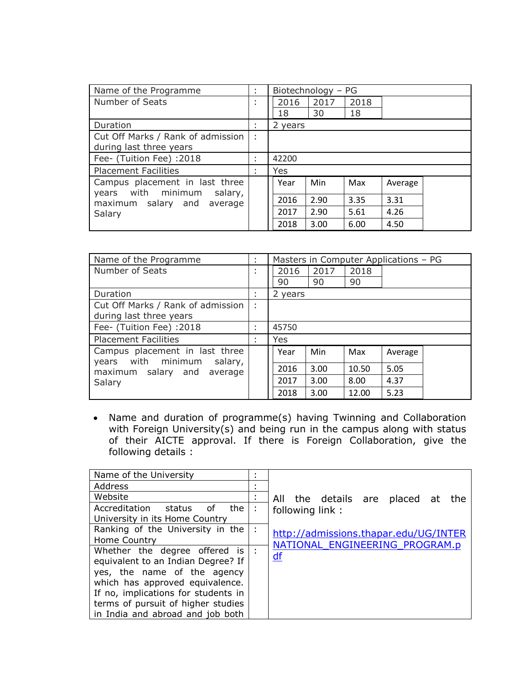| Name of the Programme             | ÷                 |         | Biotechnology - PG |      |         |  |
|-----------------------------------|-------------------|---------|--------------------|------|---------|--|
| Number of Seats                   | ٠<br>٠            | 2016    | 2017               | 2018 |         |  |
|                                   |                   | 18      | 30                 | 18   |         |  |
| Duration                          | $\mathbf{r}$      | 2 years |                    |      |         |  |
| Cut Off Marks / Rank of admission | ÷                 |         |                    |      |         |  |
| during last three years           |                   |         |                    |      |         |  |
| Fee- (Tuition Fee) :2018          | ٠<br>$\mathbf{r}$ | 42200   |                    |      |         |  |
| <b>Placement Facilities</b>       | ٠<br>×            | Yes     |                    |      |         |  |
| Campus placement in last three    |                   | Year    | Min                | Max  | Average |  |
| with minimum<br>salary,<br>years  |                   |         |                    |      |         |  |
| maximum salary and<br>average     |                   | 2016    | 2.90               | 3.35 | 3.31    |  |
| Salary                            |                   | 2017    | 2.90               | 5.61 | 4.26    |  |
|                                   |                   | 2018    | 3.00               | 6.00 | 4.50    |  |

| Name of the Programme                                              | ÷                 | Masters in Computer Applications - PG |      |       |         |  |
|--------------------------------------------------------------------|-------------------|---------------------------------------|------|-------|---------|--|
| Number of Seats                                                    | ٠<br>$\mathbf{r}$ | 2016                                  | 2017 | 2018  |         |  |
|                                                                    |                   | 90                                    | 90   | 90    |         |  |
| Duration                                                           | ٠<br>×            | 2 years                               |      |       |         |  |
| Cut Off Marks / Rank of admission                                  | ÷                 |                                       |      |       |         |  |
| during last three years                                            |                   |                                       |      |       |         |  |
| Fee- (Tuition Fee) :2018                                           | ÷                 | 45750                                 |      |       |         |  |
| <b>Placement Facilities</b>                                        | ÷                 | Yes                                   |      |       |         |  |
| Campus placement in last three<br>with minimum<br>salary,<br>years |                   | Year                                  | Min  | Max   | Average |  |
| maximum salary and<br>average                                      |                   | 2016                                  | 3.00 | 10.50 | 5.05    |  |
| Salary                                                             |                   | 2017                                  | 3.00 | 8.00  | 4.37    |  |
|                                                                    |                   | 2018                                  | 3.00 | 12.00 | 5.23    |  |

 Name and duration of programme(s) having Twinning and Collaboration with Foreign University(s) and being run in the campus along with status of their AICTE approval. If there is Foreign Collaboration, give the following details :

| Name of the University                 | ٠<br>٠         |                                       |
|----------------------------------------|----------------|---------------------------------------|
| Address                                | $\blacksquare$ |                                       |
| Website                                | $\mathbf{r}$   | All the details are placed at the     |
| Accreditation<br>the l<br>of<br>status |                | following link:                       |
| University in its Home Country         |                |                                       |
| Ranking of the University in the       | $\cdot$ :      | http://admissions.thapar.edu/UG/INTER |
| Home Country                           |                | NATIONAL ENGINEERING PROGRAM.p        |
| Whether the degree offered is          |                | $\overline{\mathsf{df}}$              |
| equivalent to an Indian Degree? If     |                |                                       |
| yes, the name of the agency            |                |                                       |
| which has approved equivalence.        |                |                                       |
| If no, implications for students in    |                |                                       |
| terms of pursuit of higher studies     |                |                                       |
| in India and abroad and job both       |                |                                       |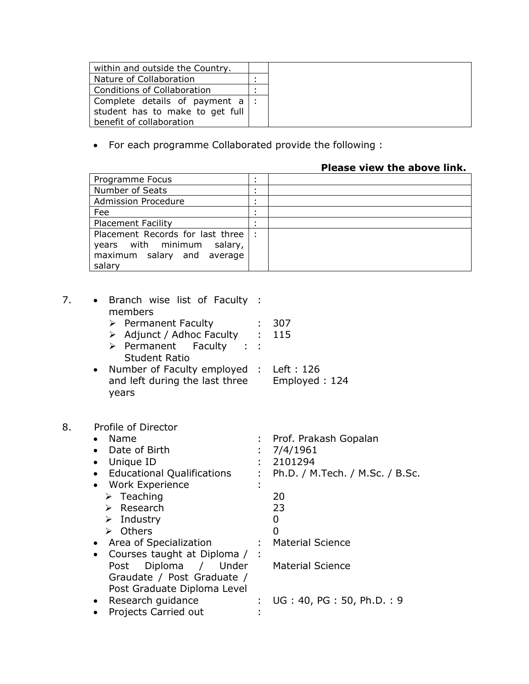| within and outside the Country.   |  |
|-----------------------------------|--|
| Nature of Collaboration           |  |
| Conditions of Collaboration       |  |
| Complete details of payment $a$ : |  |
| student has to make to get full   |  |
| benefit of collaboration          |  |

For each programme Collaborated provide the following :

# **Please view the above link.**

| Programme Focus                  |  |
|----------------------------------|--|
| Number of Seats                  |  |
| <b>Admission Procedure</b>       |  |
| Fee                              |  |
| <b>Placement Facility</b>        |  |
| Placement Records for last three |  |
| years with minimum<br>salary,    |  |
| maximum salary and average       |  |
| salary                           |  |

| 7. | • Branch wise list of Faculty :<br>members<br>$\triangleright$ Permanent Faculty<br>> Adjunct / Adhoc Faculty : 115<br>> Permanent Faculty<br><b>Student Ratio</b><br>Number of Faculty employed : Left : 126<br>$\bullet$<br>and left during the last three<br>years                                                                   |                | - 307<br>Employed: 124                                                                                                                                          |
|----|-----------------------------------------------------------------------------------------------------------------------------------------------------------------------------------------------------------------------------------------------------------------------------------------------------------------------------------------|----------------|-----------------------------------------------------------------------------------------------------------------------------------------------------------------|
| 8. | Profile of Director<br>Name<br>Date of Birth<br>• Unique ID<br>• Educational Qualifications<br>Work Experience<br>$\triangleright$ Teaching<br>$\triangleright$ Research<br>$\triangleright$ Industry<br>> Others<br>• Area of Specialization<br>• Courses taught at Diploma /<br>Diploma / Under<br>Post<br>Graudate / Post Graduate / | $\blacksquare$ | : Prof. Prakash Gopalan<br>7/4/1961<br>2101294<br>: Ph.D. / M.Tech. / M.Sc. / B.Sc.<br>20<br>23<br>0<br>0<br><b>Material Science</b><br><b>Material Science</b> |
|    | Post Graduate Diploma Level<br>Research guidance<br>Projects Carried out<br>$\bullet$                                                                                                                                                                                                                                                   |                | UG: 40, PG: 50, Ph.D.: 9                                                                                                                                        |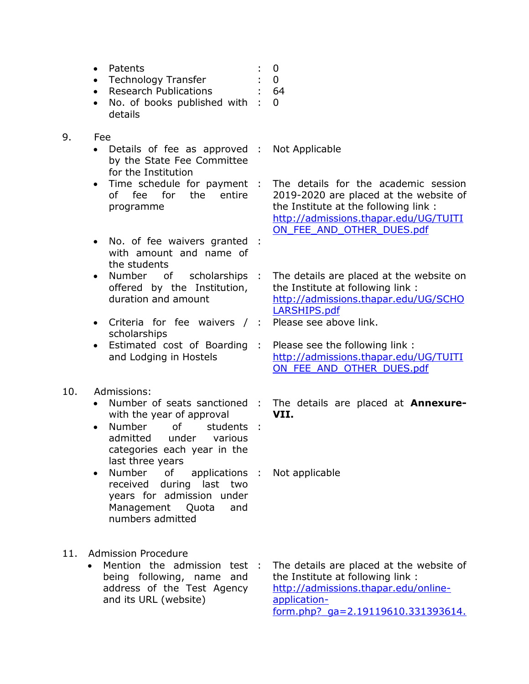- Patents : 0
- Technology Transfer : 0 Research Publications : 64
- No. of books published with : 0
- details
- 9. Fee
	- Details of fee as approved : by the State Fee Committee for the Institution
	- Time schedule for payment : of fee for the entire programme
	- No. of fee waivers granted : with amount and name of the students
	- Number of scholarships : offered by the Institution, duration and amount
	- Criteria for fee waivers / : scholarships
	- Estimated cost of Boarding: and Lodging in Hostels

# 10. Admissions:

- Number of seats sanctioned : with the year of approval
- $\bullet$  Number of admitted under various categories each year in the last three years students :
- Number of applications : received during last two years for admission under Management Quota and numbers admitted
- 11. Admission Procedure
	- Mention the admission test being following, name and address of the Test Agency and its URL (website) the Institute at following link : [http://admissions.thapar.edu/online](http://admissions.thapar.edu/online-application-form.php?_ga=2.19119610.331393614.1551959007-1963215159.1549696717)[application-](http://admissions.thapar.edu/online-application-form.php?_ga=2.19119610.331393614.1551959007-1963215159.1549696717)

The details are placed at the website of

[form.php?\\_ga=2.19119610.331393614.](http://admissions.thapar.edu/online-application-form.php?_ga=2.19119610.331393614.1551959007-1963215159.1549696717)

- Not Applicable
- The details for the academic session 2019-2020 are placed at the website of the Institute at the following link : [http://admissions.thapar.edu/UG/TUITI](http://admissions.thapar.edu/UG/TUITION_FEE_AND_OTHER_DUES.pdf) [ON\\_FEE\\_AND\\_OTHER\\_DUES.pdf](http://admissions.thapar.edu/UG/TUITION_FEE_AND_OTHER_DUES.pdf)
- The details are placed at the website on the Institute at following link : [http://admissions.thapar.edu/UG/SCHO](http://admissions.thapar.edu/UG/SCHOLARSHIPS.pdf) [LARSHIPS.pdf](http://admissions.thapar.edu/UG/SCHOLARSHIPS.pdf)
- Please see above link.
- : Please see the following link : [http://admissions.thapar.edu/UG/TUITI](http://admissions.thapar.edu/UG/TUITION_FEE_AND_OTHER_DUES.pdf) [ON\\_FEE\\_AND\\_OTHER\\_DUES.pdf](http://admissions.thapar.edu/UG/TUITION_FEE_AND_OTHER_DUES.pdf)
- : The details are placed at **Annexure-VII.**
- Not applicable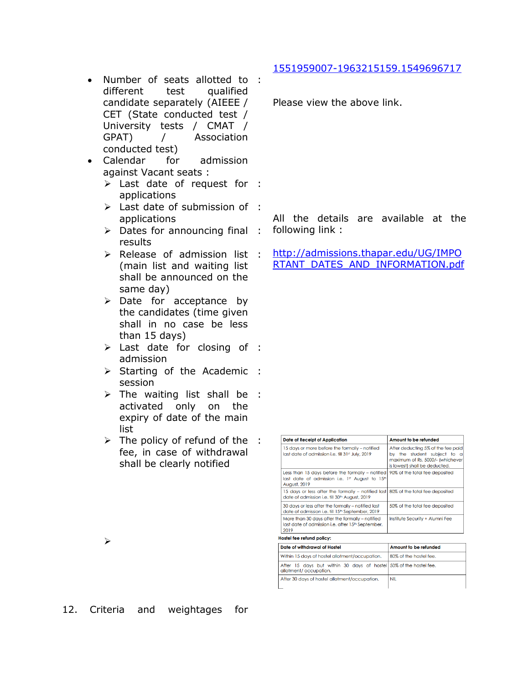- Number of seats allotted to : different test qualified candidate separately (AIEEE / CET (State conducted test / University tests / CMAT / GPAT) / Association conducted test)
- Calendar for admission against Vacant seats :
	- Last date of request for : applications
	- Last date of submission of : applications
	- > Dates for announcing final : results
	- > Release of admission list : (main list and waiting list shall be announced on the same day)
	- $\triangleright$  Date for acceptance by the candidates (time given shall in no case be less than 15 days)
	- > Last date for closing of : admission
	- > Starting of the Academic : session
	- $\triangleright$  The waiting list shall be : activated only on the expiry of date of the main list
	- $\triangleright$  The policy of refund of the : fee, in case of withdrawal shall be clearly notified

[1551959007-1963215159.1549696717](http://admissions.thapar.edu/online-application-form.php?_ga=2.19119610.331393614.1551959007-1963215159.1549696717)

Please view the above link.

All the details are available at the following link :

[http://admissions.thapar.edu/UG/IMPO](http://admissions.thapar.edu/UG/IMPORTANT_DATES_AND_INFORMATION.pdf) [RTANT\\_DATES\\_AND\\_INFORMATION.pdf](http://admissions.thapar.edu/UG/IMPORTANT_DATES_AND_INFORMATION.pdf)

| <b>Date of Receipt of Application</b>                                                                                                          | Amount to be refunded<br>After deducting 5% of the fee paid<br>by the student subject to a<br>maximum of Rs. 5000/- (whichever<br>is lowest) shall be deducted. |  |
|------------------------------------------------------------------------------------------------------------------------------------------------|-----------------------------------------------------------------------------------------------------------------------------------------------------------------|--|
| 15 days or more before the formally - notified<br>last date of admission i.e. till 31st July, 2019                                             |                                                                                                                                                                 |  |
| Less than 15 days before the formally - notified<br>last date of admission i.e. 1st August to 15th<br><b>August, 2019</b>                      | 90% of the total fee deposited                                                                                                                                  |  |
| 15 days or less after the formally – notified last 80% of the total fee deposited<br>date of admission i.e. fill 30 <sup>th</sup> August, 2019 |                                                                                                                                                                 |  |
| 30 days or less after the formally - notified last<br>date of admission i.e. fill 15 <sup>th</sup> September, 2019                             | 50% of the total fee deposited                                                                                                                                  |  |
| More than 30 days after the formally - notified<br>last date of admission i.e. after 15 <sup>th</sup> September,<br>2019                       | Institute Security + Alumni Fee                                                                                                                                 |  |
| Hostel fee refund policy:                                                                                                                      |                                                                                                                                                                 |  |
| Date of withdrawal of Hostel                                                                                                                   | Amount to be refunded                                                                                                                                           |  |
| Within 15 days of hostel allotment/occupation.                                                                                                 | 80% of the hostel fee.                                                                                                                                          |  |
| After 15 days but within 30 days of hostel 50% of the hostel fee.<br>allotment/occupation.                                                     |                                                                                                                                                                 |  |

 $NIL$ 

After 30 days of hostel allotment/occupation.

↘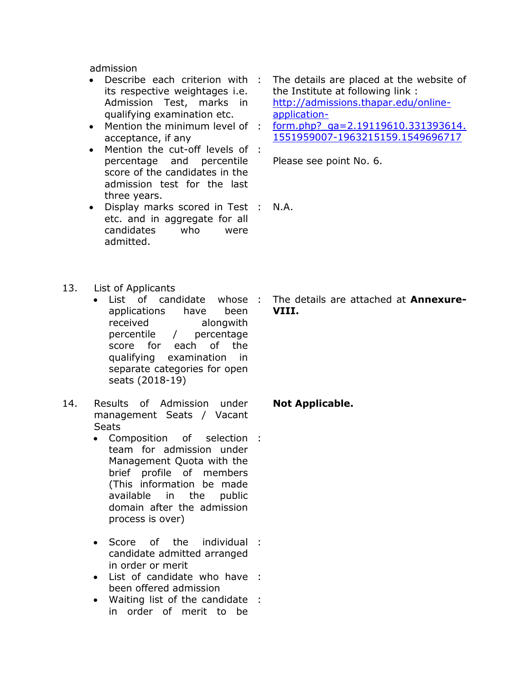admission

- Describe each criterion with : its respective weightages i.e. Admission Test, marks in qualifying examination etc.
- Mention the minimum level of : acceptance, if any
- Mention the cut-off levels of : percentage and percentile score of the candidates in the admission test for the last three years.
- Display marks scored in Test : etc. and in aggregate for all candidates who were admitted.
- 13. List of Applicants
	- List of candidate whose : applications have been received alongwith percentile / percentage score for each of the qualifying examination in separate categories for open seats (2018-19)
- 14. Results of Admission under management Seats / Vacant **Seats** 
	- $\bullet$  Composition team for admission under Management Quota with the brief profile of members (This information be made available in the public domain after the admission process is over) of selection :
	- $\bullet$  Score of the candidate admitted arranged in order or merit individual :
	- List of candidate who have : been offered admission
	- Waiting list of the candidate :in order of merit to be
- The details are placed at the website of the Institute at following link : [http://admissions.thapar.edu/online](http://admissions.thapar.edu/online-application-form.php?_ga=2.19119610.331393614.1551959007-1963215159.1549696717)[application-](http://admissions.thapar.edu/online-application-form.php?_ga=2.19119610.331393614.1551959007-1963215159.1549696717)
- [form.php?\\_ga=2.19119610.331393614.](http://admissions.thapar.edu/online-application-form.php?_ga=2.19119610.331393614.1551959007-1963215159.1549696717) [1551959007-1963215159.1549696717](http://admissions.thapar.edu/online-application-form.php?_ga=2.19119610.331393614.1551959007-1963215159.1549696717)

Please see point No. 6.

: N.A.

: The details are attached at **Annexure-VIII.**

## **Not Applicable.**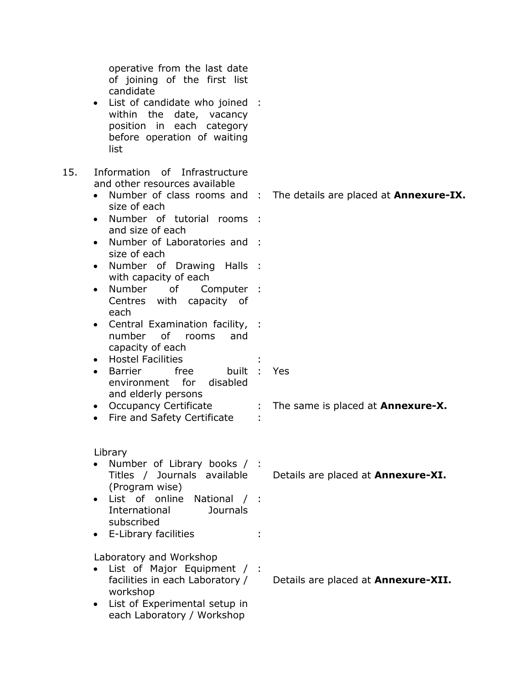|     | operative from the last date<br>of joining of the first list<br>candidate<br>• List of candidate who joined<br>within the date, vacancy<br>position in each category<br>before operation of waiting<br>list                                                                                                                                                                                                                                                                                                                                                               | $\sim$ 1              |                                                      |
|-----|---------------------------------------------------------------------------------------------------------------------------------------------------------------------------------------------------------------------------------------------------------------------------------------------------------------------------------------------------------------------------------------------------------------------------------------------------------------------------------------------------------------------------------------------------------------------------|-----------------------|------------------------------------------------------|
| 15. | Information of Infrastructure<br>and other resources available<br>Number of class rooms and :<br>size of each<br>• Number of tutorial rooms<br>and size of each<br>• Number of Laboratories and :<br>size of each<br>• Number of Drawing Halls :<br>with capacity of each<br>Number<br>of<br>Computer :<br>$\bullet$<br>Centres with capacity of<br>each<br>Central Examination facility, :<br>$\bullet$<br><b>of</b><br>number<br>and<br>rooms<br>capacity of each<br>• Hostel Facilities<br>free<br>built<br><b>Barrier</b><br>$\bullet$<br>environment for<br>disabled |                       | The details are placed at <b>Annexure-IX.</b><br>Yes |
|     | and elderly persons<br>• Occupancy Certificate<br>Fire and Safety Certificate<br>$\bullet$                                                                                                                                                                                                                                                                                                                                                                                                                                                                                | $\mathbb{Z}^{\times}$ | The same is placed at <b>Annexure-X.</b>             |
|     | Library<br>Number of Library books / :<br>Titles / Journals available<br>(Program wise)<br>• List of online National / :<br><b>Journals</b><br>International<br>subscribed<br>• E-Library facilities                                                                                                                                                                                                                                                                                                                                                                      |                       | Details are placed at Annexure-XI.                   |
|     | Laboratory and Workshop<br>List of Major Equipment / :<br>facilities in each Laboratory /<br>workshop<br>• List of Experimental setup in<br>each Laboratory / Workshop                                                                                                                                                                                                                                                                                                                                                                                                    |                       | Details are placed at Annexure-XII.                  |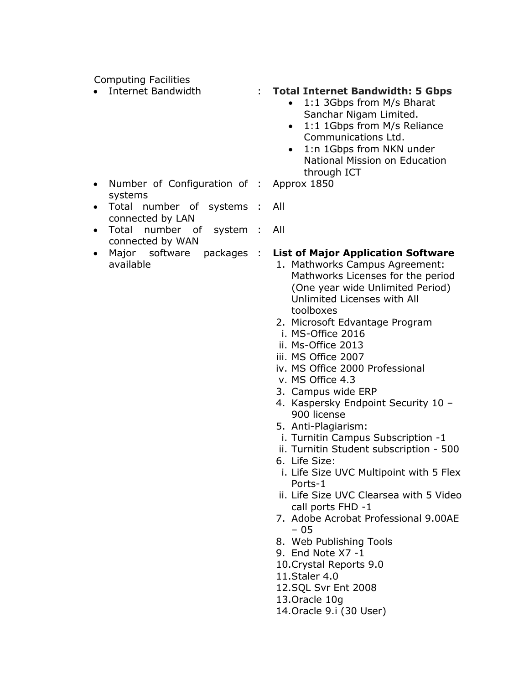Computing Facilities

# Internet Bandwidth : **Total Internet Bandwidth: 5 Gbps**

- 1:1 3Gbps from M/s Bharat Sanchar Nigam Limited.
- 1:1 1Gbps from M/s Reliance Communications Ltd.
- 1:n 1Gbps from NKN under National Mission on Education through ICT
- Approx 1850

: All

- Number of Configuration of : systems : All
- Total number of systems : connected by LAN
- Total number of system : connected by WAN
- Major software packages : available

### : **List of Major Application Software** 1. Mathworks Campus Agreement: Mathworks Licenses for the period (One year wide Unlimited Period) Unlimited Licenses with All toolboxes

- 2. Microsoft Edvantage Program
- i. MS-Office 2016
- ii. Ms-Office 2013
- iii. MS Office 2007
- iv. MS Office 2000 Professional
- v. MS Office 4.3
- 3. Campus wide ERP
- 4. Kaspersky Endpoint Security 10 900 license
- 5. Anti-Plagiarism:
- i. Turnitin Campus Subscription -1
- ii. Turnitin Student subscription 500
- 6. Life Size:
- i. Life Size UVC Multipoint with 5 Flex Ports-1
- ii. Life Size UVC Clearsea with 5 Video call ports FHD -1
- 7. Adobe Acrobat Professional 9.00AE – 05
- 8. Web Publishing Tools
- 9. End Note X7 -1
- 10.Crystal Reports 9.0
- 11.Staler 4.0
- 12.SQL Svr Ent 2008
- 13.Oracle 10g
- 14.Oracle 9.i (30 User)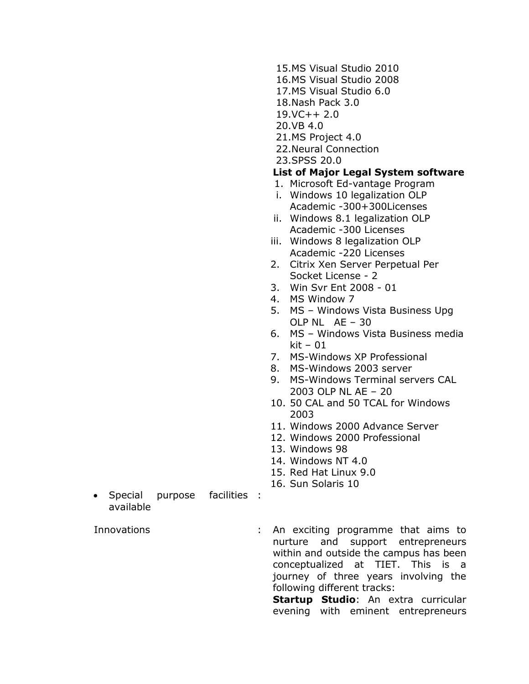- 15.MS Visual Studio 2010
- 16.MS Visual Studio 2008
- 17.MS Visual Studio 6.0
- 18.Nash Pack 3.0
- $19.VC++2.0$
- 20.VB 4.0
- 21.MS Project 4.0
- 22.Neural Connection
- 23.SPSS 20.0

# **List of Major Legal System software**

- 1. Microsoft Ed-vantage Program
- i. Windows 10 legalization OLP Academic -300+300Licenses
- ii. Windows 8.1 legalization OLP Academic -300 Licenses
- iii. Windows 8 legalization OLP Academic -220 Licenses
- 2. Citrix Xen Server Perpetual Per Socket License - 2
- 3. Win Svr Ent 2008 01
- 4. MS Window 7
- 5. MS Windows Vista Business Upg OLP NL AE – 30
- 6. MS Windows Vista Business media  $kit - 01$
- 7. MS-Windows XP Professional
- 8. MS-Windows 2003 server
- 9. MS-Windows Terminal servers CAL 2003 OLP NL AE – 20
- 10. 50 CAL and 50 TCAL for Windows 2003
- 11. Windows 2000 Advance Server
- 12. Windows 2000 Professional
- 13. Windows 98
- 14. Windows NT 4.0
- 15. Red Hat Linux 9.0
- 16. Sun Solaris 10
- $\bullet$  Special purpose available facilities :

Innovations : An exciting programme that aims to nurture and support entrepreneurs within and outside the campus has been conceptualized at TIET. This is a journey of three years involving the following different tracks:

**Startup Studio**: An extra curricular evening with eminent entrepreneurs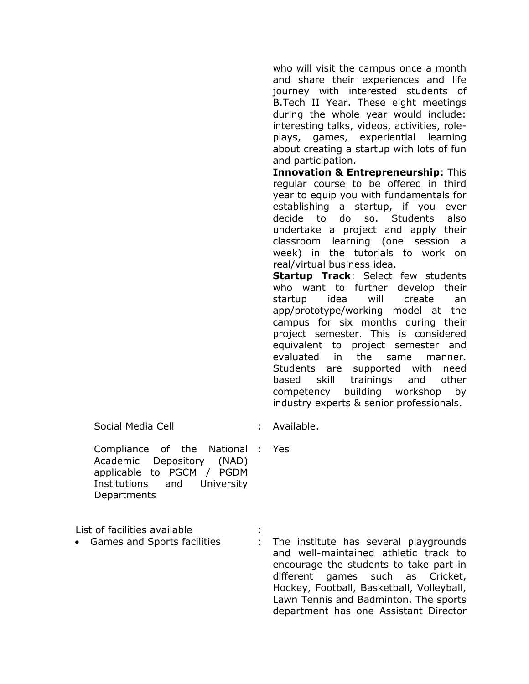who will visit the campus once a month and share their experiences and life journey with interested students of B.Tech II Year. These eight meetings during the whole year would include: interesting talks, videos, activities, roleplays, games, experiential learning about creating a startup with lots of fun and participation.

**Innovation & Entrepreneurship**: This regular course to be offered in third year to equip you with fundamentals for establishing a startup, if you ever decide to do so. Students also undertake a project and apply their classroom learning (one session a week) in the tutorials to work on real/virtual business idea.

**Startup Track**: Select few students who want to further develop their startup idea will create an app/prototype/working model at the campus for six months during their project semester. This is considered equivalent to project semester and evaluated in the same manner. Students are supported with need based skill trainings and other competency building workshop by industry experts & senior professionals.

Social Media Cell **intervalse** in the Available.

: Yes

Compliance of the National Academic Depository (NAD) applicable to PGCM / PGDM Institutions and University Departments

List of facilities available :

- 
- Games and Sports facilities : The institute has several playgrounds and well-maintained athletic track to encourage the students to take part in different games such as Cricket, Hockey, Football, Basketball, Volleyball, Lawn Tennis and Badminton. The sports department has one Assistant Director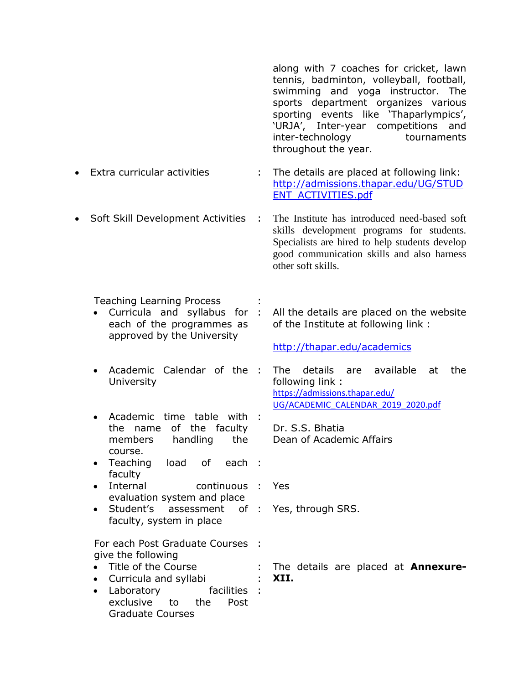along with 7 coaches for cricket, lawn tennis, badminton, volleyball, football, swimming and yoga instructor. The sports department organizes various sporting events like 'Thaparlympics', 'URJA', Inter-year competitions and inter-technology tournaments throughout the year. Extra curricular activities : The details are placed at following link: [http://admissions.thapar.edu/UG/STUD](http://admissions.thapar.edu/UG/STUDENT_ACTIVITIES.pdf) [ENT\\_ACTIVITIES.pdf](http://admissions.thapar.edu/UG/STUDENT_ACTIVITIES.pdf) • Soft Skill Development Activities : The Institute has introduced need-based soft skills development programs for students. Specialists are hired to help students develop good communication skills and also harness other soft skills.

Teaching Learning Process :

- Curricula and syllabus for : each of the programmes as approved by the University
- Academic Calendar of the : **University**
- Academic time table with : the name of the faculty members handling the course.
- Teaching load of faculty each :
- Internal continuous : evaluation system and place
- Student's assessment faculty, system in place : Yes, through SRS.

For each Post Graduate Courses : give the following

- 
- Curricula and syllabi : **XII.**
- Laboratory exclusive to the Post Graduate Courses facilities :

All the details are placed on the website of the Institute at following link :

<http://thapar.edu/academics>

The details are available at the following link : [https://admissions.thapar.edu/](https://admissions.thapar.edu/%20UG/ACADEMIC_CALENDAR_2019_2020.pdf)  [UG/ACADEMIC\\_CALENDAR\\_2019\\_2020.pdf](https://admissions.thapar.edu/%20UG/ACADEMIC_CALENDAR_2019_2020.pdf)

> Dr. S.S. Bhatia Dean of Academic Affairs

: Yes

Title of the Course : The details are placed at **Annexure-**